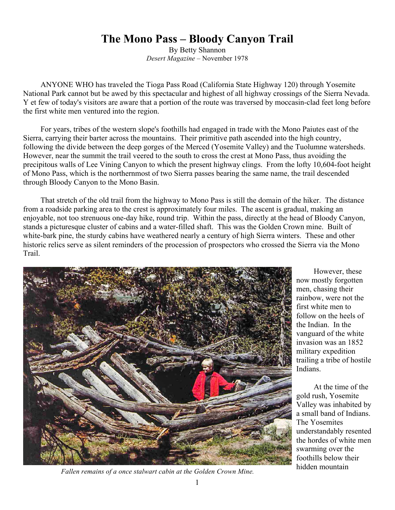## **The Mono Pass – Bloody Canyon Trail**

By Betty Shannon *Desert Magazine* – November 1978

ANYONE WHO has traveled the Tioga Pass Road (California State Highway 120) through Yosemite National Park cannot but be awed by this spectacular and highest of all highway crossings of the Sierra Nevada. Y et few of today's visitors are aware that a portion of the route was traversed by moccasin-clad feet long before the first white men ventured into the region.

For years, tribes of the western slope's foothills had engaged in trade with the Mono Paiutes east of the Sierra, carrying their barter across the mountains. Their primitive path ascended into the high country, following the divide between the deep gorges of the Merced (Yosemite Valley) and the Tuolumne watersheds. However, near the summit the trail veered to the south to cross the crest at Mono Pass, thus avoiding the precipitous walls of Lee Vining Canyon to which the present highway clings. From the lofty 10,604-foot height of Mono Pass, which is the northernmost of two Sierra passes bearing the same name, the trail descended through Bloody Canyon to the Mono Basin.

That stretch of the old trail from the highway to Mono Pass is still the domain of the hiker. The distance from a roadside parking area to the crest is approximately four miles. The ascent is gradual, making an enjoyable, not too strenuous one-day hike, round trip. Within the pass, directly at the head of Bloody Canyon, stands a picturesque cluster of cabins and a water-filled shaft. This was the Golden Crown mine. Built of white-bark pine, the sturdy cabins have weathered nearly a century of high Sierra winters. These and other historic relics serve as silent reminders of the procession of prospectors who crossed the Sierra via the Mono Trail.



However, these now mostly forgotten men, chasing their rainbow, were not the first white men to follow on the heels of the Indian. In the vanguard of the white invasion was an 1852 military expedition trailing a tribe of hostile Indians.

At the time of the gold rush, Yosemite Valley was inhabited by a small band of Indians. The Yosemites understandably resented the hordes of white men swarming over the foothills below their

hidden mountain *Fallen remains of a once stalwart cabin at the Golden Crown Mine.*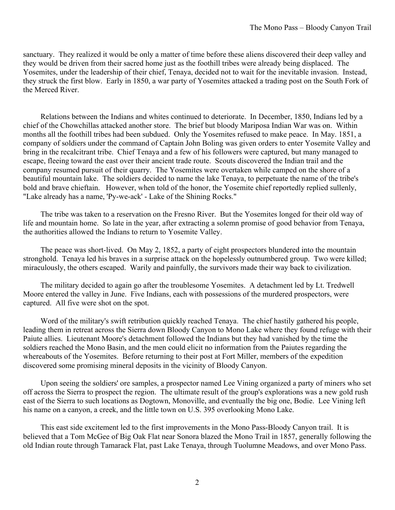sanctuary. They realized it would be only a matter of time before these aliens discovered their deep valley and they would be driven from their sacred home just as the foothill tribes were already being displaced. The Yosemites, under the leadership of their chief, Tenaya, decided not to wait for the inevitable invasion. Instead, they struck the first blow. Early in 1850, a war party of Yosemites attacked a trading post on the South Fork of the Merced River.

Relations between the Indians and whites continued to deteriorate. In December, 1850, Indians led by a chief of the Chowchillas attacked another store. The brief but bloody Mariposa Indian War was on. Within months all the foothill tribes had been subdued. Only the Yosemites refused to make peace. In May. 1851, a company of soldiers under the command of Captain John Boling was given orders to enter Yosemite Valley and bring in the recalcitrant tribe. Chief Tenaya and a few of his followers were captured, but many managed to escape, fleeing toward the east over their ancient trade route. Scouts discovered the Indian trail and the company resumed pursuit of their quarry. The Yosemites were overtaken while camped on the shore of a beautiful mountain lake. The soldiers decided to name the lake Tenaya, to perpetuate the name of the tribe's bold and brave chieftain. However, when told of the honor, the Yosemite chief reportedly replied sullenly, "Lake already has a name, 'Py-we-ack' - Lake of the Shining Rocks."

The tribe was taken to a reservation on the Fresno River. But the Yosemites longed for their old way of life and mountain home. So late in the year, after extracting a solemn promise of good behavior from Tenaya, the authorities allowed the Indians to return to Yosemite Valley.

The peace was short-lived. On May 2, 1852, a party of eight prospectors blundered into the mountain stronghold. Tenaya led his braves in a surprise attack on the hopelessly outnumbered group. Two were killed; miraculously, the others escaped. Warily and painfully, the survivors made their way back to civilization.

The military decided to again go after the troublesome Yosemites. A detachment led by Lt. Tredwell Moore entered the valley in June. Five Indians, each with possessions of the murdered prospectors, were captured. All five were shot on the spot.

Word of the military's swift retribution quickly reached Tenaya. The chief hastily gathered his people, leading them in retreat across the Sierra down Bloody Canyon to Mono Lake where they found refuge with their Paiute allies. Lieutenant Moore's detachment followed the Indians but they had vanished by the time the soldiers reached the Mono Basin, and the men could elicit no information from the Paiutes regarding the whereabouts of the Yosemites. Before returning to their post at Fort Miller, members of the expedition discovered some promising mineral deposits in the vicinity of Bloody Canyon.

Upon seeing the soldiers' ore samples, a prospector named Lee Vining organized a party of miners who set off across the Sierra to prospect the region. The ultimate result of the group's explorations was a new gold rush east of the Sierra to such locations as Dogtown, Monoville, and eventually the big one, Bodie. Lee Vining left his name on a canyon, a creek, and the little town on U.S. 395 overlooking Mono Lake.

This east side excitement led to the first improvements in the Mono Pass-Bloody Canyon trail. It is believed that a Tom McGee of Big Oak Flat near Sonora blazed the Mono Trail in 1857, generally following the old Indian route through Tamarack Flat, past Lake Tenaya, through Tuolumne Meadows, and over Mono Pass.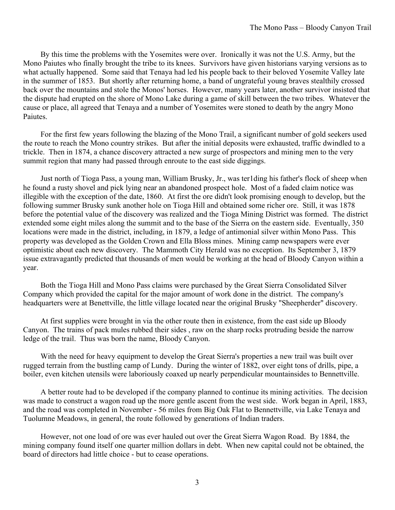By this time the problems with the Yosemites were over. Ironically it was not the U.S. Army, but the Mono Paiutes who finally brought the tribe to its knees. Survivors have given historians varying versions as to what actually happened. Some said that Tenaya had led his people back to their beloved Yosemite Valley late in the summer of 1853. But shortly after returning home, a band of ungrateful young braves stealthily crossed back over the mountains and stole the Monos' horses. However, many years later, another survivor insisted that the dispute had erupted on the shore of Mono Lake during a game of skill between the two tribes. Whatever the cause or place, all agreed that Tenaya and a number of Yosemites were stoned to death by the angry Mono Paiutes.

For the first few years following the blazing of the Mono Trail, a significant number of gold seekers used the route to reach the Mono country strikes. But after the initial deposits were exhausted, traffic dwindled to a trickle. Then in 1874, a chance discovery attracted a new surge of prospectors and mining men to the very summit region that many had passed through enroute to the east side diggings.

Just north of Tioga Pass, a young man, William Brusky, Jr., was ter1ding his father's flock of sheep when he found a rusty shovel and pick lying near an abandoned prospect hole. Most of a faded claim notice was illegible with the exception of the date, 1860. At first the ore didn't look promising enough to develop, but the following summer Brusky sunk another hole on Tioga Hill and obtained some richer ore. Still, it was 1878 before the potential value of the discovery was realized and the Tioga Mining District was formed. The district extended some eight miles along the summit and to the base of the Sierra on the eastern side. Eventually, 350 locations were made in the district, including, in 1879, a ledge of antimonial silver within Mono Pass. This property was developed as the Golden Crown and Ella Bloss mines. Mining camp newspapers were ever optimistic about each new discovery. The Mammoth City Herald was no exception. Its September 3, 1879 issue extravagantly predicted that thousands of men would be working at the head of Bloody Canyon within a year.

Both the Tioga Hill and Mono Pass claims were purchased by the Great Sierra Consolidated Silver Company which provided the capital for the major amount of work done in the district. The company's headquarters were at Benettville, the little village located near the original Brusky "Sheepherder" discovery.

At first supplies were brought in via the other route then in existence, from the east side up Bloody Canyon. The trains of pack mules rubbed their sides , raw on the sharp rocks protruding beside the narrow ledge of the trail. Thus was born the name, Bloody Canyon.

With the need for heavy equipment to develop the Great Sierra's properties a new trail was built over rugged terrain from the bustling camp of Lundy. During the winter of 1882, over eight tons of drills, pipe, a boiler, even kitchen utensils were laboriously coaxed up nearly perpendicular mountainsides to Bennettville.

A better route had to be developed if the company planned to continue its mining activities. The decision was made to construct a wagon road up the more gentle ascent from the west side. Work began in April, 1883, and the road was completed in November - 56 miles from Big Oak Flat to Bennettville, via Lake Tenaya and Tuolumne Meadows, in general, the route followed by generations of Indian traders.

However, not one load of ore was ever hauled out over the Great Sierra Wagon Road. By 1884, the mining company found itself one quarter million dollars in debt. When new capital could not be obtained, the board of directors had little choice - but to cease operations.